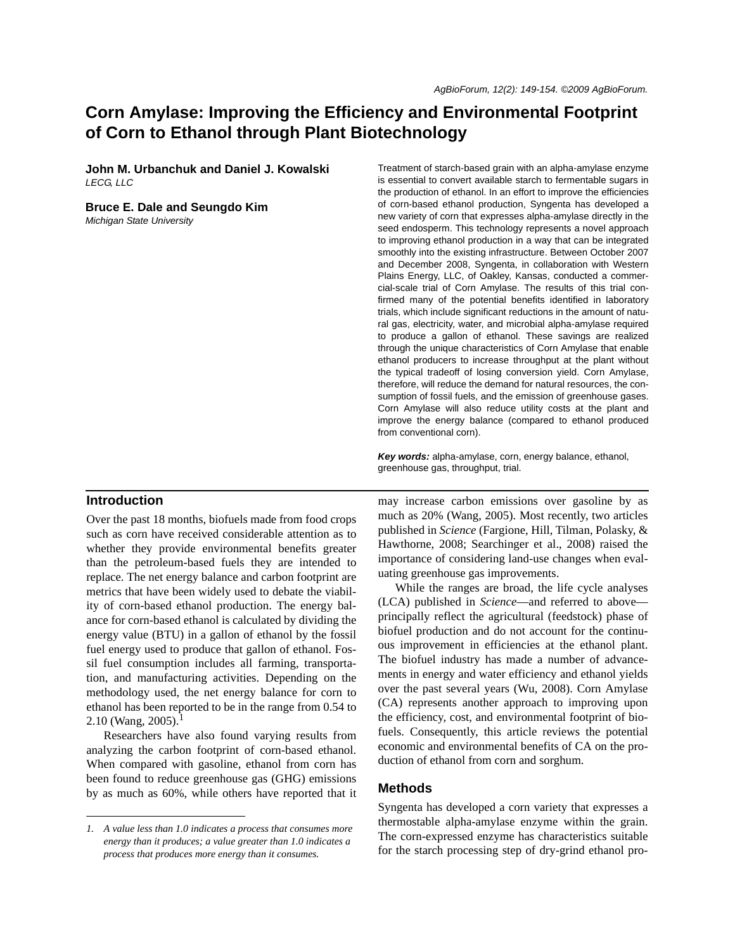# **Corn Amylase: Improving the Efficiency and Environmental Footprint of Corn to Ethanol through Plant Biotechnology**

**John M. Urbanchuk and Daniel J. Kowalski** *LECG, LLC*

#### **Bruce E. Dale and Seungdo Kim**

*Michigan State University*

#### **Introduction**

Over the past 18 months, biofuels made from food crops such as corn have received considerable attention as to whether they provide environmental benefits greater than the petroleum-based fuels they are intended to replace. The net energy balance and carbon footprint are metrics that have been widely used to debate the viability of corn-based ethanol production. The energy balance for corn-based ethanol is calculated by dividing the energy value (BTU) in a gallon of ethanol by the fossil fuel energy used to produce that gallon of ethanol. Fossil fuel consumption includes all farming, transportation, and manufacturing activities. Depending on the methodology used, the net energy balance for corn to ethanol has been reported to be in the range from 0.54 to 2.10 (Wang, 2005).<sup>1</sup>

Researchers have also found varying results from analyzing the carbon footprint of corn-based ethanol. When compared with gasoline, ethanol from corn has been found to reduce greenhouse gas (GHG) emissions by as much as 60%, while others have reported that it

Treatment of starch-based grain with an alpha-amylase enzyme is essential to convert available starch to fermentable sugars in the production of ethanol. In an effort to improve the efficiencies of corn-based ethanol production, Syngenta has developed a new variety of corn that expresses alpha-amylase directly in the seed endosperm. This technology represents a novel approach to improving ethanol production in a way that can be integrated smoothly into the existing infrastructure. Between October 2007 and December 2008, Syngenta, in collaboration with Western Plains Energy, LLC, of Oakley, Kansas, conducted a commercial-scale trial of Corn Amylase. The results of this trial confirmed many of the potential benefits identified in laboratory trials, which include significant reductions in the amount of natural gas, electricity, water, and microbial alpha-amylase required to produce a gallon of ethanol. These savings are realized through the unique characteristics of Corn Amylase that enable ethanol producers to increase throughput at the plant without the typical tradeoff of losing conversion yield. Corn Amylase, therefore, will reduce the demand for natural resources, the consumption of fossil fuels, and the emission of greenhouse gases. Corn Amylase will also reduce utility costs at the plant and improve the energy balance (compared to ethanol produced from conventional corn).

*Key words:* alpha-amylase, corn, energy balance, ethanol, greenhouse gas, throughput, trial.

may increase carbon emissions over gasoline by as much as 20% (Wang, 2005). Most recently, two articles published in *Science* (Fargione, Hill, Tilman, Polasky, & Hawthorne, 2008; Searchinger et al., 2008) raised the importance of considering land-use changes when evaluating greenhouse gas improvements.

While the ranges are broad, the life cycle analyses (LCA) published in *Science*—and referred to above principally reflect the agricultural (feedstock) phase of biofuel production and do not account for the continuous improvement in efficiencies at the ethanol plant. The biofuel industry has made a number of advancements in energy and water efficiency and ethanol yields over the past several years (Wu, 2008). Corn Amylase (CA) represents another approach to improving upon the efficiency, cost, and environmental footprint of biofuels. Consequently, this article reviews the potential economic and environmental benefits of CA on the production of ethanol from corn and sorghum.

#### **Methods**

Syngenta has developed a corn variety that expresses a thermostable alpha-amylase enzyme within the grain. The corn-expressed enzyme has characteristics suitable for the starch processing step of dry-grind ethanol pro-

*<sup>1.</sup> A value less than 1.0 indicates a process that consumes more energy than it produces; a value greater than 1.0 indicates a process that produces more energy than it consumes.*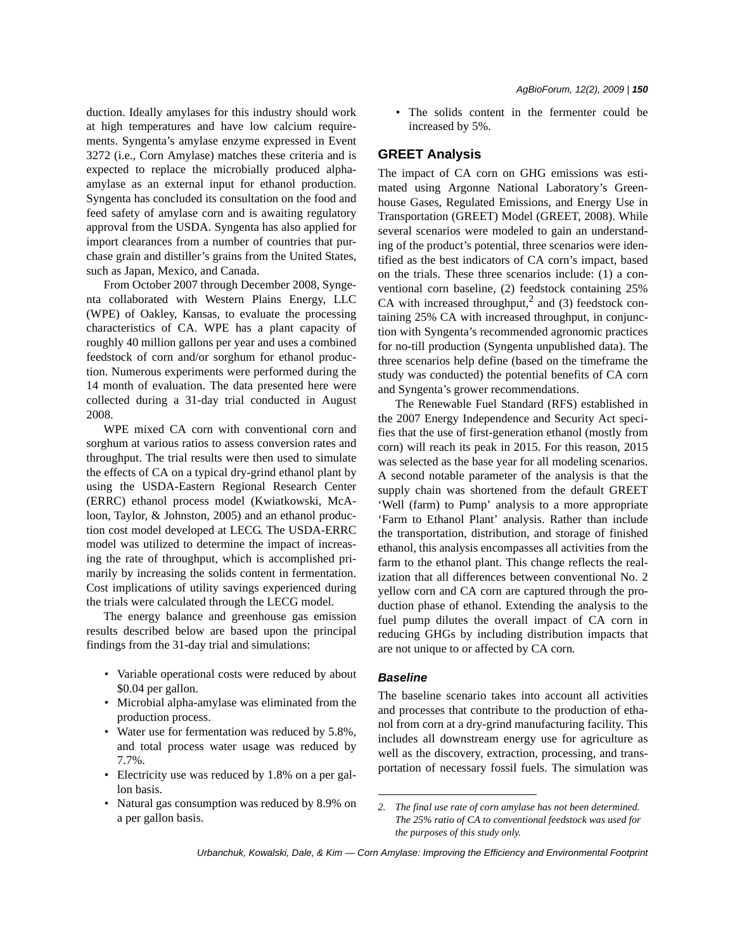duction. Ideally amylases for this industry should work at high temperatures and have low calcium requirements. Syngenta's amylase enzyme expressed in Event 3272 (i.e., Corn Amylase) matches these criteria and is expected to replace the microbially produced alphaamylase as an external input for ethanol production. Syngenta has concluded its consultation on the food and feed safety of amylase corn and is awaiting regulatory approval from the USDA. Syngenta has also applied for import clearances from a number of countries that purchase grain and distiller's grains from the United States, such as Japan, Mexico, and Canada.

From October 2007 through December 2008, Syngenta collaborated with Western Plains Energy, LLC (WPE) of Oakley, Kansas, to evaluate the processing characteristics of CA. WPE has a plant capacity of roughly 40 million gallons per year and uses a combined feedstock of corn and/or sorghum for ethanol production. Numerous experiments were performed during the 14 month of evaluation. The data presented here were collected during a 31-day trial conducted in August 2008.

WPE mixed CA corn with conventional corn and sorghum at various ratios to assess conversion rates and throughput. The trial results were then used to simulate the effects of CA on a typical dry-grind ethanol plant by using the USDA-Eastern Regional Research Center (ERRC) ethanol process model (Kwiatkowski, McAloon, Taylor, & Johnston, 2005) and an ethanol production cost model developed at LECG. The USDA-ERRC model was utilized to determine the impact of increasing the rate of throughput, which is accomplished primarily by increasing the solids content in fermentation. Cost implications of utility savings experienced during the trials were calculated through the LECG model.

The energy balance and greenhouse gas emission results described below are based upon the principal findings from the 31-day trial and simulations:

- Variable operational costs were reduced by about \$0.04 per gallon.
- Microbial alpha-amylase was eliminated from the production process.
- Water use for fermentation was reduced by 5.8%, and total process water usage was reduced by 7.7%.
- Electricity use was reduced by 1.8% on a per gallon basis.
- Natural gas consumption was reduced by 8.9% on a per gallon basis.

• The solids content in the fermenter could be increased by 5%.

## **GREET Analysis**

The impact of CA corn on GHG emissions was estimated using Argonne National Laboratory's Greenhouse Gases, Regulated Emissions, and Energy Use in Transportation (GREET) Model (GREET, 2008). While several scenarios were modeled to gain an understanding of the product's potential, three scenarios were identified as the best indicators of CA corn's impact, based on the trials. These three scenarios include: (1) a conventional corn baseline, (2) feedstock containing 25% CA with increased throughput,<sup>2</sup> and (3) feedstock containing 25% CA with increased throughput, in conjunction with Syngenta's recommended agronomic practices for no-till production (Syngenta unpublished data). The three scenarios help define (based on the timeframe the study was conducted) the potential benefits of CA corn and Syngenta's grower recommendations.

The Renewable Fuel Standard (RFS) established in the 2007 Energy Independence and Security Act specifies that the use of first-generation ethanol (mostly from corn) will reach its peak in 2015. For this reason, 2015 was selected as the base year for all modeling scenarios. A second notable parameter of the analysis is that the supply chain was shortened from the default GREET 'Well (farm) to Pump' analysis to a more appropriate 'Farm to Ethanol Plant' analysis. Rather than include the transportation, distribution, and storage of finished ethanol, this analysis encompasses all activities from the farm to the ethanol plant. This change reflects the realization that all differences between conventional No. 2 yellow corn and CA corn are captured through the production phase of ethanol. Extending the analysis to the fuel pump dilutes the overall impact of CA corn in reducing GHGs by including distribution impacts that are not unique to or affected by CA corn.

#### *Baseline*

The baseline scenario takes into account all activities and processes that contribute to the production of ethanol from corn at a dry-grind manufacturing facility. This includes all downstream energy use for agriculture as well as the discovery, extraction, processing, and transportation of necessary fossil fuels. The simulation was

*Urbanchuk, Kowalski, Dale, & Kim — Corn Amylase: Improving the Efficiency and Environmental Footprint*

*<sup>2.</sup> The final use rate of corn amylase has not been determined. The 25% ratio of CA to conventional feedstock was used for the purposes of this study only.*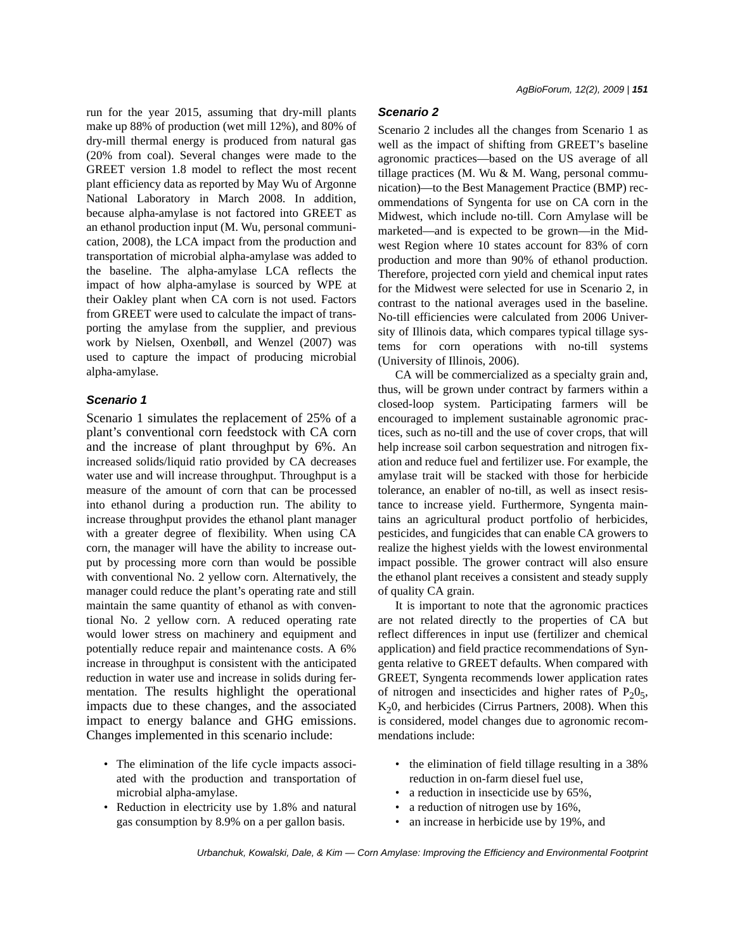run for the year 2015, assuming that dry-mill plants make up 88% of production (wet mill 12%), and 80% of dry-mill thermal energy is produced from natural gas (20% from coal). Several changes were made to the GREET version 1.8 model to reflect the most recent plant efficiency data as reported by May Wu of Argonne National Laboratory in March 2008. In addition, because alpha-amylase is not factored into GREET as an ethanol production input (M. Wu, personal communication, 2008), the LCA impact from the production and transportation of microbial alpha-amylase was added to the baseline. The alpha-amylase LCA reflects the impact of how alpha-amylase is sourced by WPE at their Oakley plant when CA corn is not used. Factors from GREET were used to calculate the impact of transporting the amylase from the supplier, and previous work by Nielsen, Oxenbøll, and Wenzel (2007) was used to capture the impact of producing microbial alpha-amylase.

#### *Scenario 1*

Scenario 1 simulates the replacement of 25% of a plant's conventional corn feedstock with CA corn and the increase of plant throughput by 6%. An increased solids/liquid ratio provided by CA decreases water use and will increase throughput. Throughput is a measure of the amount of corn that can be processed into ethanol during a production run. The ability to increase throughput provides the ethanol plant manager with a greater degree of flexibility. When using CA corn, the manager will have the ability to increase output by processing more corn than would be possible with conventional No. 2 yellow corn. Alternatively, the manager could reduce the plant's operating rate and still maintain the same quantity of ethanol as with conventional No. 2 yellow corn. A reduced operating rate would lower stress on machinery and equipment and potentially reduce repair and maintenance costs. A 6% increase in throughput is consistent with the anticipated reduction in water use and increase in solids during fermentation. The results highlight the operational impacts due to these changes, and the associated impact to energy balance and GHG emissions. Changes implemented in this scenario include:

- The elimination of the life cycle impacts associated with the production and transportation of microbial alpha-amylase.
- Reduction in electricity use by 1.8% and natural gas consumption by 8.9% on a per gallon basis.

# *Scenario 2*

Scenario 2 includes all the changes from Scenario 1 as well as the impact of shifting from GREET's baseline agronomic practices—based on the US average of all tillage practices (M. Wu & M. Wang, personal communication)—to the Best Management Practice (BMP) recommendations of Syngenta for use on CA corn in the Midwest, which include no-till. Corn Amylase will be marketed—and is expected to be grown—in the Midwest Region where 10 states account for 83% of corn production and more than 90% of ethanol production. Therefore, projected corn yield and chemical input rates for the Midwest were selected for use in Scenario 2, in contrast to the national averages used in the baseline. No-till efficiencies were calculated from 2006 University of Illinois data, which compares typical tillage systems for corn operations with no-till systems (University of Illinois, 2006).

CA will be commercialized as a specialty grain and, thus, will be grown under contract by farmers within a closed-loop system. Participating farmers will be encouraged to implement sustainable agronomic practices, such as no-till and the use of cover crops, that will help increase soil carbon sequestration and nitrogen fixation and reduce fuel and fertilizer use. For example, the amylase trait will be stacked with those for herbicide tolerance, an enabler of no-till, as well as insect resistance to increase yield. Furthermore, Syngenta maintains an agricultural product portfolio of herbicides, pesticides, and fungicides that can enable CA growers to realize the highest yields with the lowest environmental impact possible. The grower contract will also ensure the ethanol plant receives a consistent and steady supply of quality CA grain.

It is important to note that the agronomic practices are not related directly to the properties of CA but reflect differences in input use (fertilizer and chemical application) and field practice recommendations of Syngenta relative to GREET defaults. When compared with GREET, Syngenta recommends lower application rates of nitrogen and insecticides and higher rates of  $P_2O_5$ ,  $K<sub>2</sub>0$ , and herbicides (Cirrus Partners, 2008). When this is considered, model changes due to agronomic recommendations include:

- the elimination of field tillage resulting in a 38% reduction in on-farm diesel fuel use,
- a reduction in insecticide use by 65%,
- a reduction of nitrogen use by 16%,
- an increase in herbicide use by 19%, and

*Urbanchuk, Kowalski, Dale, & Kim — Corn Amylase: Improving the Efficiency and Environmental Footprint*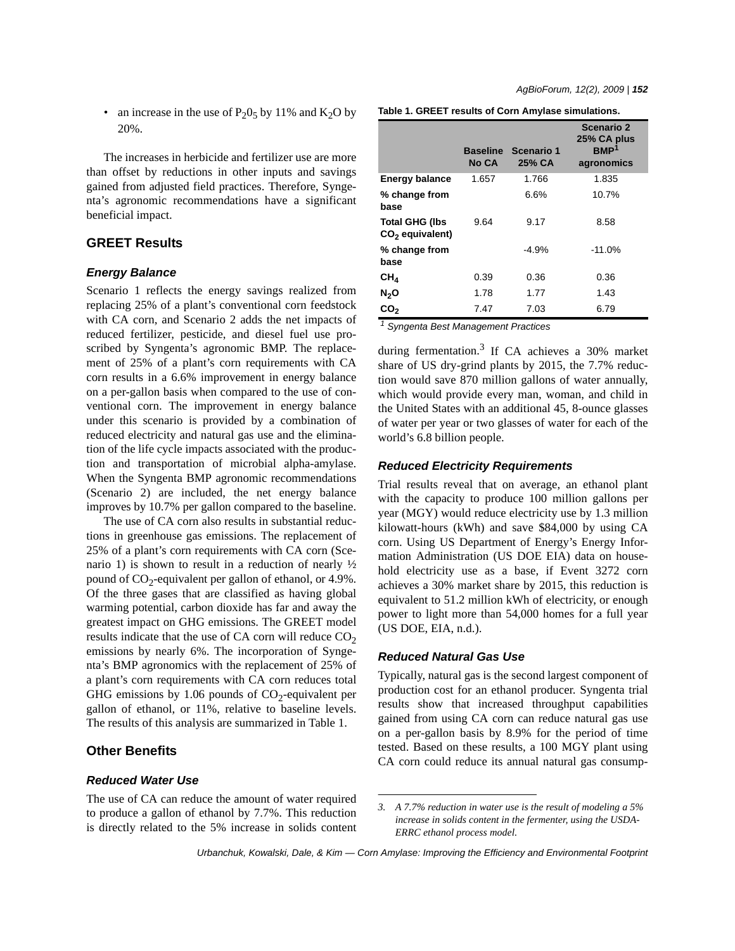• an increase in the use of  $P_2O_5$  by 11% and  $K_2O$  by 20%.

The increases in herbicide and fertilizer use are more than offset by reductions in other inputs and savings gained from adjusted field practices. Therefore, Syngenta's agronomic recommendations have a significant beneficial impact.

## **GREET Results**

## *Energy Balance*

Scenario 1 reflects the energy savings realized from replacing 25% of a plant's conventional corn feedstock with CA corn, and Scenario 2 adds the net impacts of reduced fertilizer, pesticide, and diesel fuel use proscribed by Syngenta's agronomic BMP. The replacement of 25% of a plant's corn requirements with CA corn results in a 6.6% improvement in energy balance on a per-gallon basis when compared to the use of conventional corn. The improvement in energy balance under this scenario is provided by a combination of reduced electricity and natural gas use and the elimination of the life cycle impacts associated with the production and transportation of microbial alpha-amylase. When the Syngenta BMP agronomic recommendations (Scenario 2) are included, the net energy balance improves by 10.7% per gallon compared to the baseline.

The use of CA corn also results in substantial reductions in greenhouse gas emissions. The replacement of 25% of a plant's corn requirements with CA corn (Scenario 1) is shown to result in a reduction of nearly  $\frac{1}{2}$ pound of  $CO_2$ -equivalent per gallon of ethanol, or 4.9%. Of the three gases that are classified as having global warming potential, carbon dioxide has far and away the greatest impact on GHG emissions. The GREET model results indicate that the use of  $CA$  corn will reduce  $CO<sub>2</sub>$ emissions by nearly 6%. The incorporation of Syngenta's BMP agronomics with the replacement of 25% of a plant's corn requirements with CA corn reduces total GHG emissions by 1.06 pounds of  $CO<sub>2</sub>$ -equivalent per gallon of ethanol, or 11%, relative to baseline levels. The results of this analysis are summarized in Table 1.

#### **Other Benefits**

### *Reduced Water Use*

The use of CA can reduce the amount of water required to produce a gallon of ethanol by 7.7%. This reduction is directly related to the 5% increase in solids content **Table 1. GREET results of Corn Amylase simulations.**

|                                                      | <b>Baseline</b><br>No CA | Scenario 1<br>25% CA | Scenario 2<br>25% CA plus<br>BMP <sup>1</sup><br>agronomics |
|------------------------------------------------------|--------------------------|----------------------|-------------------------------------------------------------|
| <b>Energy balance</b>                                | 1.657                    | 1.766                | 1.835                                                       |
| % change from<br>base                                |                          | 6.6%                 | 10.7%                                                       |
| <b>Total GHG (Ibs</b><br>CO <sub>2</sub> equivalent) | 9.64                     | 9.17                 | 8.58                                                        |
| % change from<br>base                                |                          | $-4.9%$              | $-11.0%$                                                    |
| CH <sub>4</sub>                                      | 0.39                     | 0.36                 | 0.36                                                        |
| N <sub>2</sub> O                                     | 1.78                     | 1.77                 | 1.43                                                        |
| CO <sub>2</sub>                                      | 7.47                     | 7.03                 | 6.79                                                        |

*1 Syngenta Best Management Practices*

during fermentation.<sup>3</sup> If CA achieves a 30% market share of US dry-grind plants by 2015, the 7.7% reduction would save 870 million gallons of water annually, which would provide every man, woman, and child in the United States with an additional 45, 8-ounce glasses of water per year or two glasses of water for each of the world's 6.8 billion people.

#### *Reduced Electricity Requirements*

Trial results reveal that on average, an ethanol plant with the capacity to produce 100 million gallons per year (MGY) would reduce electricity use by 1.3 million kilowatt-hours (kWh) and save \$84,000 by using CA corn. Using US Department of Energy's Energy Information Administration (US DOE EIA) data on household electricity use as a base, if Event 3272 corn achieves a 30% market share by 2015, this reduction is equivalent to 51.2 million kWh of electricity, or enough power to light more than 54,000 homes for a full year (US DOE, EIA, n.d.).

#### *Reduced Natural Gas Use*

Typically, natural gas is the second largest component of production cost for an ethanol producer. Syngenta trial results show that increased throughput capabilities gained from using CA corn can reduce natural gas use on a per-gallon basis by 8.9% for the period of time tested. Based on these results, a 100 MGY plant using CA corn could reduce its annual natural gas consump-

*Urbanchuk, Kowalski, Dale, & Kim — Corn Amylase: Improving the Efficiency and Environmental Footprint*

*<sup>3.</sup> A 7.7% reduction in water use is the result of modeling a 5% increase in solids content in the fermenter, using the USDA-ERRC ethanol process model.*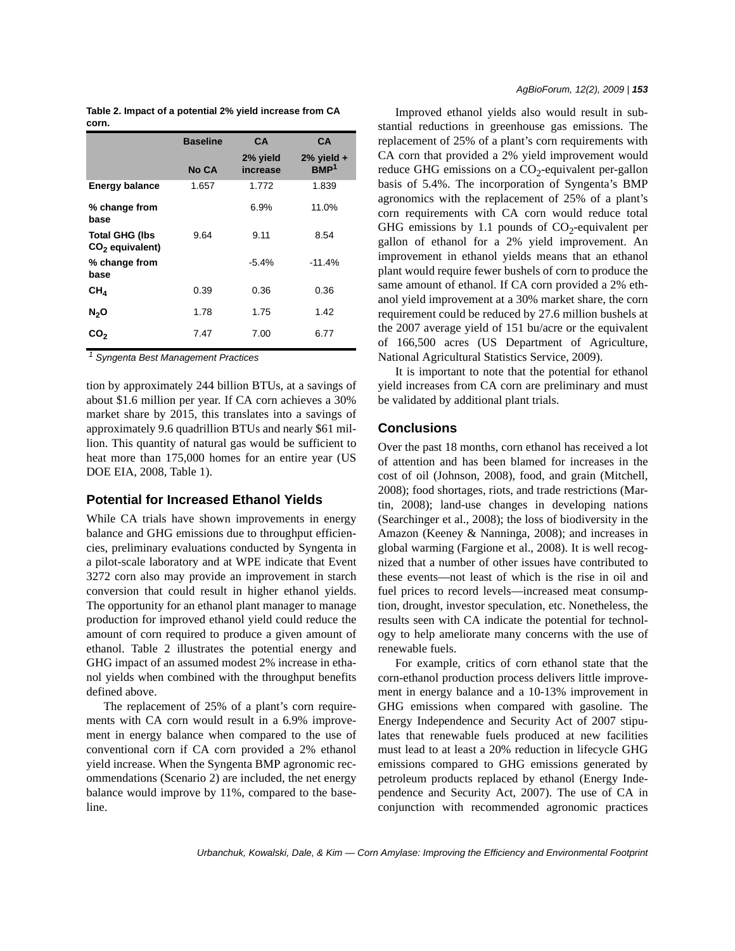|                                            | <b>Baseline</b> | <b>CA</b>            | <b>CA</b>                           |
|--------------------------------------------|-----------------|----------------------|-------------------------------------|
|                                            | No CA           | 2% yield<br>increase | $2\%$ yield $+$<br>BMP <sup>1</sup> |
| <b>Energy balance</b>                      | 1.657           | 1.772                | 1.839                               |
| % change from<br>base                      |                 | 6.9%                 | 11.0%                               |
| <b>Total GHG (Ibs</b><br>$CO2$ equivalent) | 9.64            | 9.11                 | 8.54                                |
| % change from<br>base                      |                 | $-5.4%$              | $-11.4%$                            |
| CH <sub>A</sub>                            | 0.39            | 0.36                 | 0.36                                |
| N <sub>2</sub> O                           | 1.78            | 1.75                 | 1.42                                |
| CO,                                        | 7.47            | 7.00                 | 6.77                                |

**Table 2. Impact of a potential 2% yield increase from CA corn.**

*1 Syngenta Best Management Practices*

tion by approximately 244 billion BTUs, at a savings of about \$1.6 million per year. If CA corn achieves a 30% market share by 2015, this translates into a savings of approximately 9.6 quadrillion BTUs and nearly \$61 million. This quantity of natural gas would be sufficient to heat more than 175,000 homes for an entire year (US DOE EIA, 2008, Table 1).

#### **Potential for Increased Ethanol Yields**

While CA trials have shown improvements in energy balance and GHG emissions due to throughput efficiencies, preliminary evaluations conducted by Syngenta in a pilot-scale laboratory and at WPE indicate that Event 3272 corn also may provide an improvement in starch conversion that could result in higher ethanol yields. The opportunity for an ethanol plant manager to manage production for improved ethanol yield could reduce the amount of corn required to produce a given amount of ethanol. Table 2 illustrates the potential energy and GHG impact of an assumed modest 2% increase in ethanol yields when combined with the throughput benefits defined above.

The replacement of 25% of a plant's corn requirements with CA corn would result in a 6.9% improvement in energy balance when compared to the use of conventional corn if CA corn provided a 2% ethanol yield increase. When the Syngenta BMP agronomic recommendations (Scenario 2) are included, the net energy balance would improve by 11%, compared to the baseline.

Improved ethanol yields also would result in substantial reductions in greenhouse gas emissions. The replacement of 25% of a plant's corn requirements with CA corn that provided a 2% yield improvement would reduce GHG emissions on a  $CO<sub>2</sub>$ -equivalent per-gallon basis of 5.4%. The incorporation of Syngenta's BMP agronomics with the replacement of 25% of a plant's corn requirements with CA corn would reduce total GHG emissions by 1.1 pounds of  $CO<sub>2</sub>$ -equivalent per gallon of ethanol for a 2% yield improvement. An improvement in ethanol yields means that an ethanol plant would require fewer bushels of corn to produce the same amount of ethanol. If CA corn provided a 2% ethanol yield improvement at a 30% market share, the corn requirement could be reduced by 27.6 million bushels at the 2007 average yield of 151 bu/acre or the equivalent of 166,500 acres (US Department of Agriculture, National Agricultural Statistics Service, 2009).

It is important to note that the potential for ethanol yield increases from CA corn are preliminary and must be validated by additional plant trials.

#### **Conclusions**

Over the past 18 months, corn ethanol has received a lot of attention and has been blamed for increases in the cost of oil (Johnson, 2008), food, and grain (Mitchell, 2008); food shortages, riots, and trade restrictions (Martin, 2008); land-use changes in developing nations (Searchinger et al., 2008); the loss of biodiversity in the Amazon (Keeney & Nanninga, 2008); and increases in global warming (Fargione et al., 2008). It is well recognized that a number of other issues have contributed to these events—not least of which is the rise in oil and fuel prices to record levels—increased meat consumption, drought, investor speculation, etc. Nonetheless, the results seen with CA indicate the potential for technology to help ameliorate many concerns with the use of renewable fuels.

For example, critics of corn ethanol state that the corn-ethanol production process delivers little improvement in energy balance and a 10-13% improvement in GHG emissions when compared with gasoline. The Energy Independence and Security Act of 2007 stipulates that renewable fuels produced at new facilities must lead to at least a 20% reduction in lifecycle GHG emissions compared to GHG emissions generated by petroleum products replaced by ethanol (Energy Independence and Security Act, 2007). The use of CA in conjunction with recommended agronomic practices